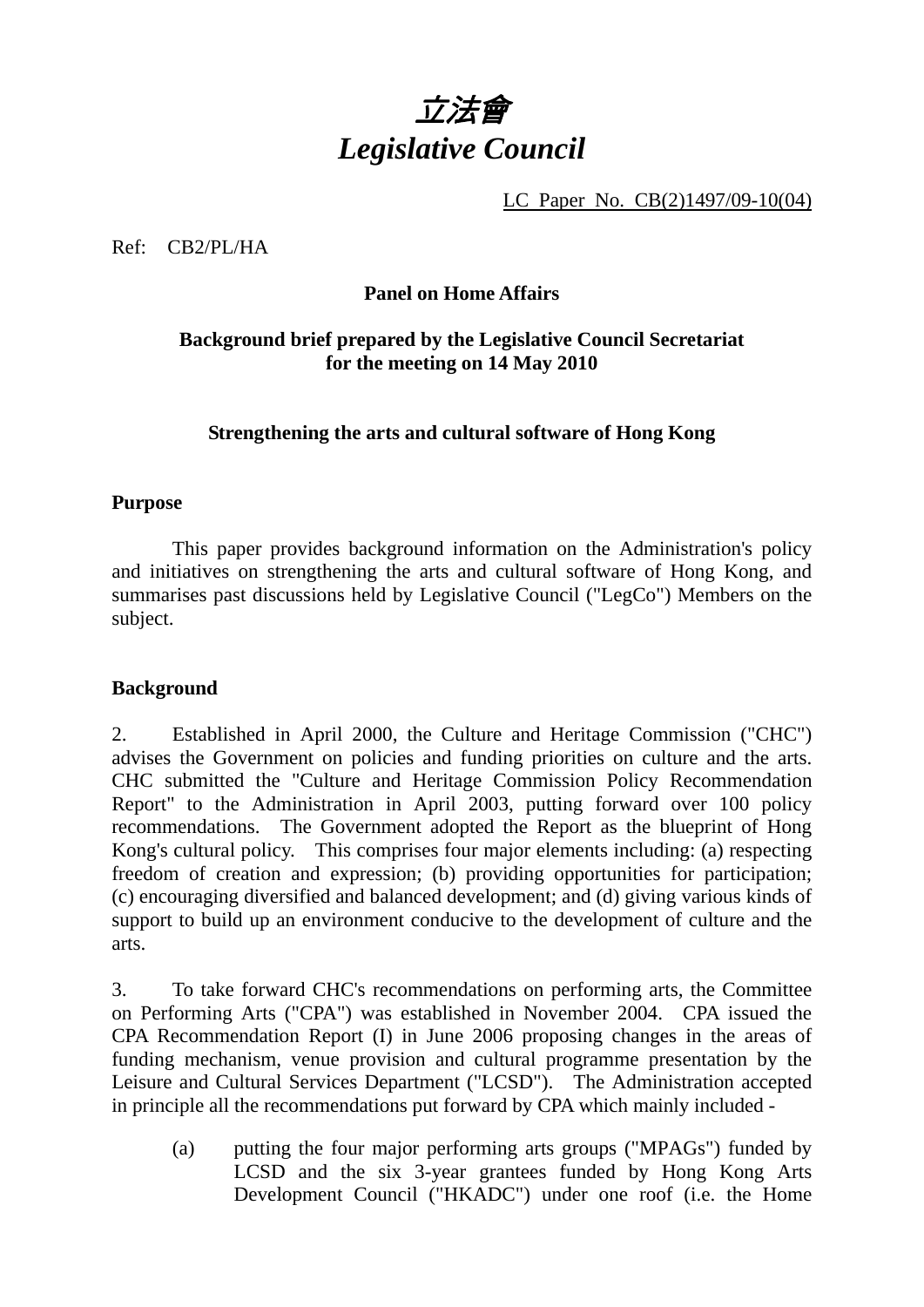

LC Paper No. CB(2)1497/09-10(04)

Ref: CB2/PL/HA

#### **Panel on Home Affairs**

## **Background brief prepared by the Legislative Council Secretariat for the meeting on 14 May 2010**

#### **Strengthening the arts and cultural software of Hong Kong**

#### **Purpose**

This paper provides background information on the Administration's policy and initiatives on strengthening the arts and cultural software of Hong Kong, and summarises past discussions held by Legislative Council ("LegCo") Members on the subject.

#### **Background**

2. Established in April 2000, the Culture and Heritage Commission ("CHC") advises the Government on policies and funding priorities on culture and the arts. CHC submitted the "Culture and Heritage Commission Policy Recommendation Report" to the Administration in April 2003, putting forward over 100 policy recommendations. The Government adopted the Report as the blueprint of Hong Kong's cultural policy. This comprises four major elements including: (a) respecting freedom of creation and expression; (b) providing opportunities for participation; (c) encouraging diversified and balanced development; and (d) giving various kinds of support to build up an environment conducive to the development of culture and the arts.

3. To take forward CHC's recommendations on performing arts, the Committee on Performing Arts ("CPA") was established in November 2004. CPA issued the CPA Recommendation Report (I) in June 2006 proposing changes in the areas of funding mechanism, venue provision and cultural programme presentation by the Leisure and Cultural Services Department ("LCSD"). The Administration accepted in principle all the recommendations put forward by CPA which mainly included -

(a) putting the four major performing arts groups ("MPAGs") funded by LCSD and the six 3-year grantees funded by Hong Kong Arts Development Council ("HKADC") under one roof (i.e. the Home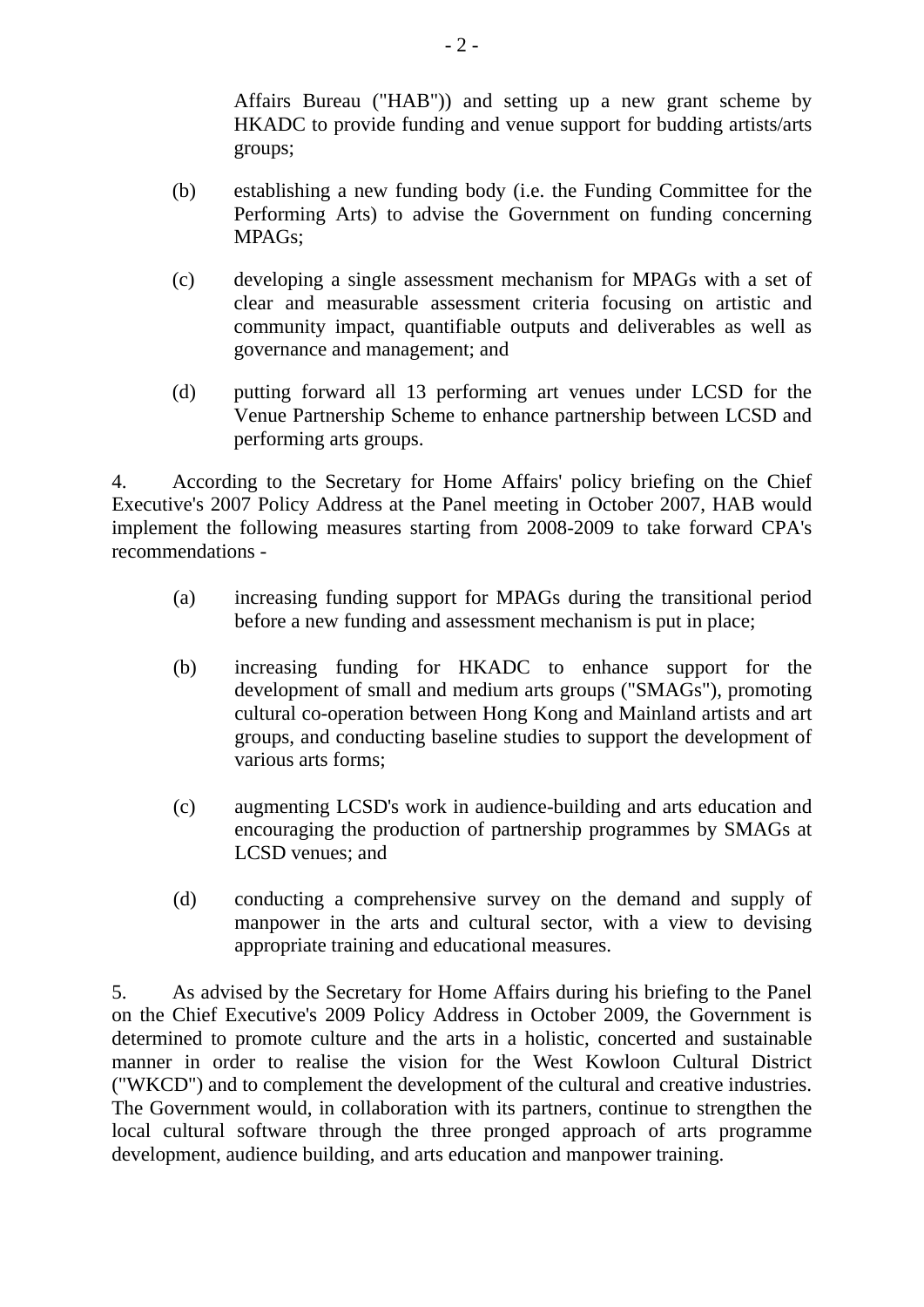Affairs Bureau ("HAB")) and setting up a new grant scheme by HKADC to provide funding and venue support for budding artists/arts groups;

- (b) establishing a new funding body (i.e. the Funding Committee for the Performing Arts) to advise the Government on funding concerning MPAGs;
- (c) developing a single assessment mechanism for MPAGs with a set of clear and measurable assessment criteria focusing on artistic and community impact, quantifiable outputs and deliverables as well as governance and management; and
- (d) putting forward all 13 performing art venues under LCSD for the Venue Partnership Scheme to enhance partnership between LCSD and performing arts groups.

4. According to the Secretary for Home Affairs' policy briefing on the Chief Executive's 2007 Policy Address at the Panel meeting in October 2007, HAB would implement the following measures starting from 2008-2009 to take forward CPA's recommendations -

- (a) increasing funding support for MPAGs during the transitional period before a new funding and assessment mechanism is put in place;
- (b) increasing funding for HKADC to enhance support for the development of small and medium arts groups ("SMAGs"), promoting cultural co-operation between Hong Kong and Mainland artists and art groups, and conducting baseline studies to support the development of various arts forms;
- (c) augmenting LCSD's work in audience-building and arts education and encouraging the production of partnership programmes by SMAGs at LCSD venues; and
- (d) conducting a comprehensive survey on the demand and supply of manpower in the arts and cultural sector, with a view to devising appropriate training and educational measures.

5. As advised by the Secretary for Home Affairs during his briefing to the Panel on the Chief Executive's 2009 Policy Address in October 2009, the Government is determined to promote culture and the arts in a holistic, concerted and sustainable manner in order to realise the vision for the West Kowloon Cultural District ("WKCD") and to complement the development of the cultural and creative industries. The Government would, in collaboration with its partners, continue to strengthen the local cultural software through the three pronged approach of arts programme development, audience building, and arts education and manpower training.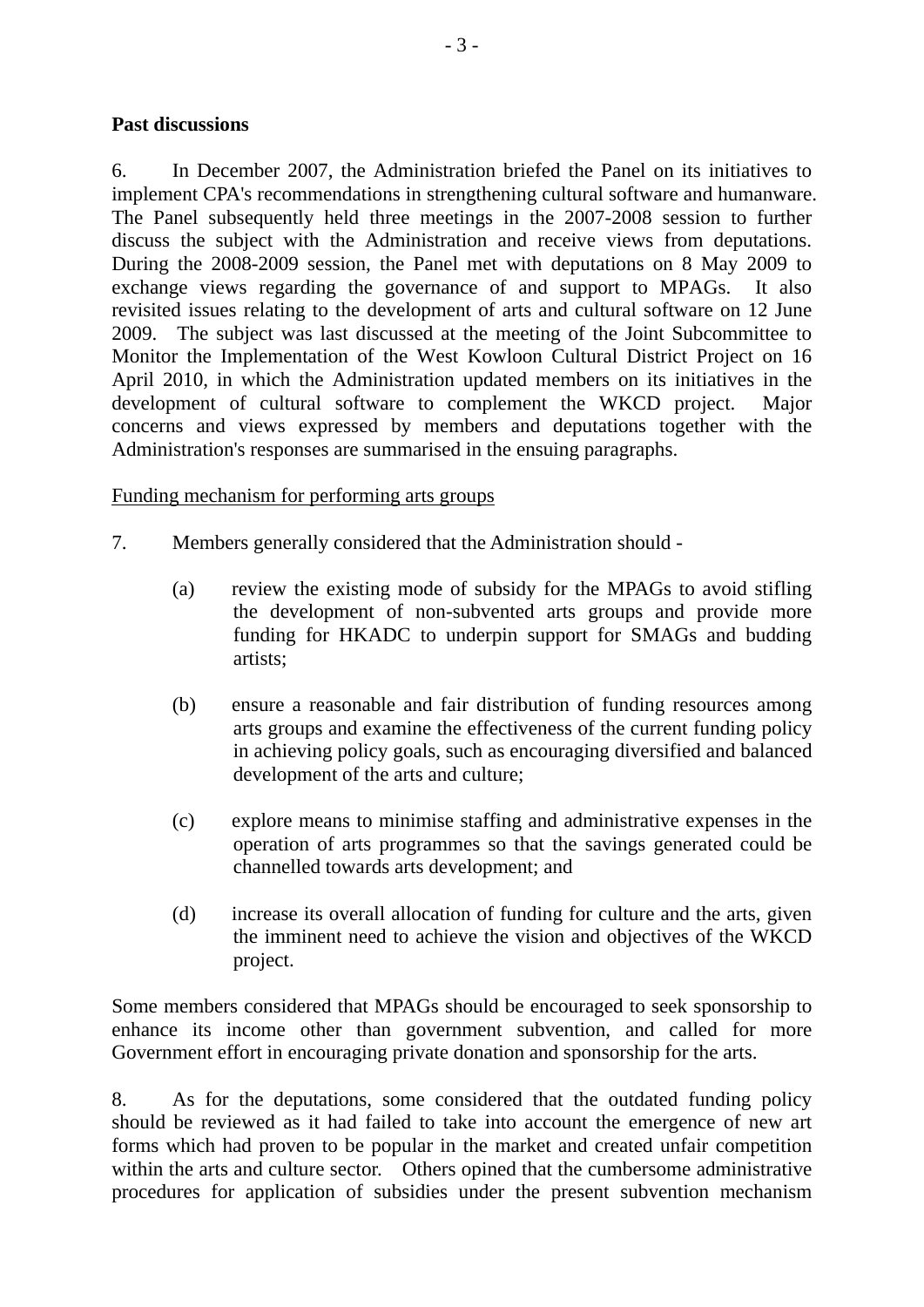#### **Past discussions**

6. In December 2007, the Administration briefed the Panel on its initiatives to implement CPA's recommendations in strengthening cultural software and humanware. The Panel subsequently held three meetings in the 2007-2008 session to further discuss the subject with the Administration and receive views from deputations. During the 2008-2009 session, the Panel met with deputations on 8 May 2009 to exchange views regarding the governance of and support to MPAGs. It also revisited issues relating to the development of arts and cultural software on 12 June 2009. The subject was last discussed at the meeting of the Joint Subcommittee to Monitor the Implementation of the West Kowloon Cultural District Project on 16 April 2010, in which the Administration updated members on its initiatives in the development of cultural software to complement the WKCD project. Major concerns and views expressed by members and deputations together with the Administration's responses are summarised in the ensuing paragraphs.

#### Funding mechanism for performing arts groups

- 7. Members generally considered that the Administration should
	- (a) review the existing mode of subsidy for the MPAGs to avoid stifling the development of non-subvented arts groups and provide more funding for HKADC to underpin support for SMAGs and budding artists;
	- (b) ensure a reasonable and fair distribution of funding resources among arts groups and examine the effectiveness of the current funding policy in achieving policy goals, such as encouraging diversified and balanced development of the arts and culture;
	- (c) explore means to minimise staffing and administrative expenses in the operation of arts programmes so that the savings generated could be channelled towards arts development; and
	- (d) increase its overall allocation of funding for culture and the arts, given the imminent need to achieve the vision and objectives of the WKCD project.

Some members considered that MPAGs should be encouraged to seek sponsorship to enhance its income other than government subvention, and called for more Government effort in encouraging private donation and sponsorship for the arts.

8. As for the deputations, some considered that the outdated funding policy should be reviewed as it had failed to take into account the emergence of new art forms which had proven to be popular in the market and created unfair competition within the arts and culture sector. Others opined that the cumbersome administrative procedures for application of subsidies under the present subvention mechanism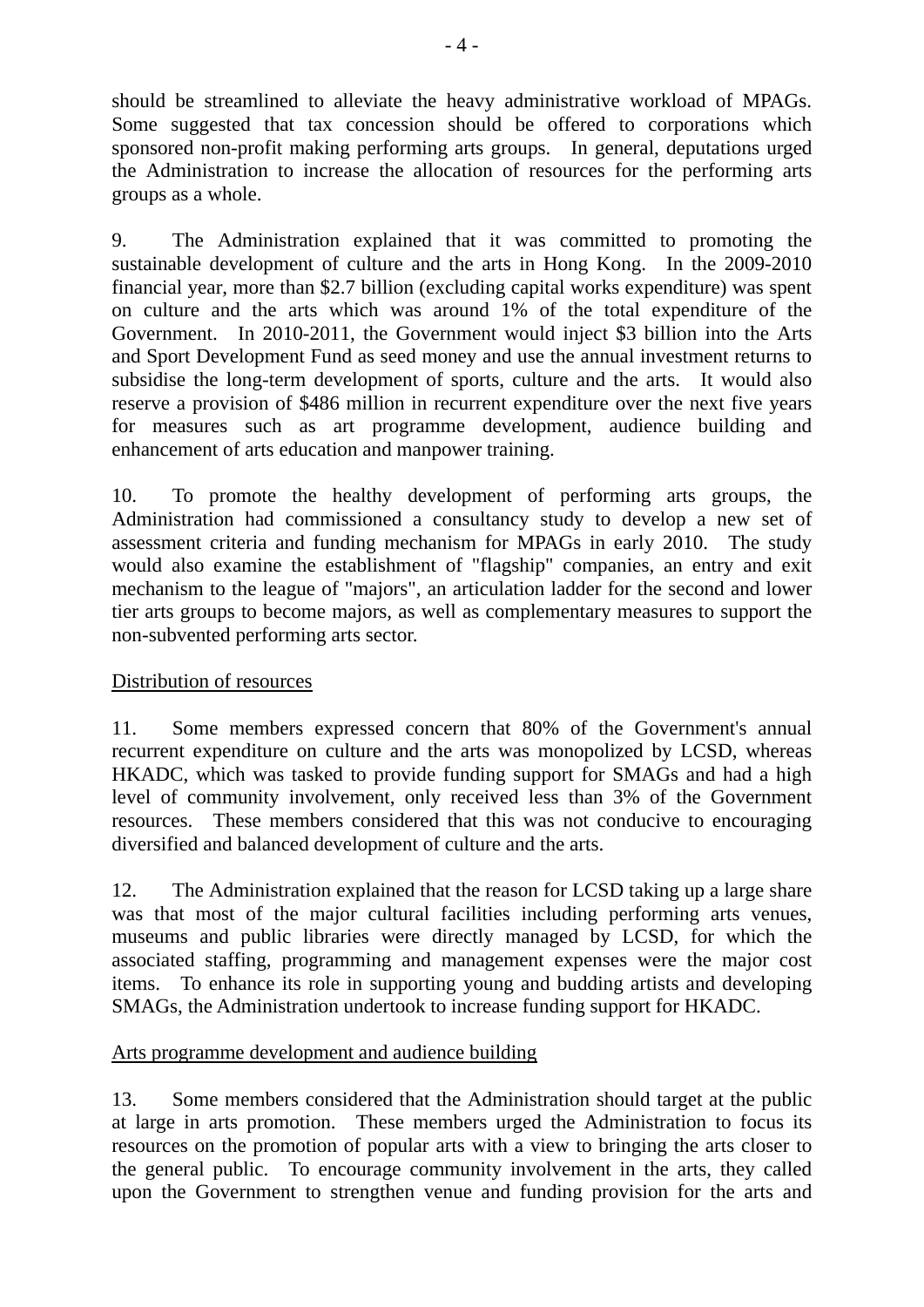should be streamlined to alleviate the heavy administrative workload of MPAGs. Some suggested that tax concession should be offered to corporations which sponsored non-profit making performing arts groups. In general, deputations urged the Administration to increase the allocation of resources for the performing arts groups as a whole.

9. The Administration explained that it was committed to promoting the sustainable development of culture and the arts in Hong Kong. In the 2009-2010 financial year, more than \$2.7 billion (excluding capital works expenditure) was spent on culture and the arts which was around 1% of the total expenditure of the Government. In 2010-2011, the Government would inject \$3 billion into the Arts and Sport Development Fund as seed money and use the annual investment returns to subsidise the long-term development of sports, culture and the arts. It would also reserve a provision of \$486 million in recurrent expenditure over the next five years for measures such as art programme development, audience building and enhancement of arts education and manpower training.

10. To promote the healthy development of performing arts groups, the Administration had commissioned a consultancy study to develop a new set of assessment criteria and funding mechanism for MPAGs in early 2010. The study would also examine the establishment of "flagship" companies, an entry and exit mechanism to the league of "majors", an articulation ladder for the second and lower tier arts groups to become majors, as well as complementary measures to support the non-subvented performing arts sector.

## Distribution of resources

11. Some members expressed concern that 80% of the Government's annual recurrent expenditure on culture and the arts was monopolized by LCSD, whereas HKADC, which was tasked to provide funding support for SMAGs and had a high level of community involvement, only received less than 3% of the Government resources. These members considered that this was not conducive to encouraging diversified and balanced development of culture and the arts.

12. The Administration explained that the reason for LCSD taking up a large share was that most of the major cultural facilities including performing arts venues, museums and public libraries were directly managed by LCSD, for which the associated staffing, programming and management expenses were the major cost items. To enhance its role in supporting young and budding artists and developing SMAGs, the Administration undertook to increase funding support for HKADC.

## Arts programme development and audience building

13. Some members considered that the Administration should target at the public at large in arts promotion. These members urged the Administration to focus its resources on the promotion of popular arts with a view to bringing the arts closer to the general public. To encourage community involvement in the arts, they called upon the Government to strengthen venue and funding provision for the arts and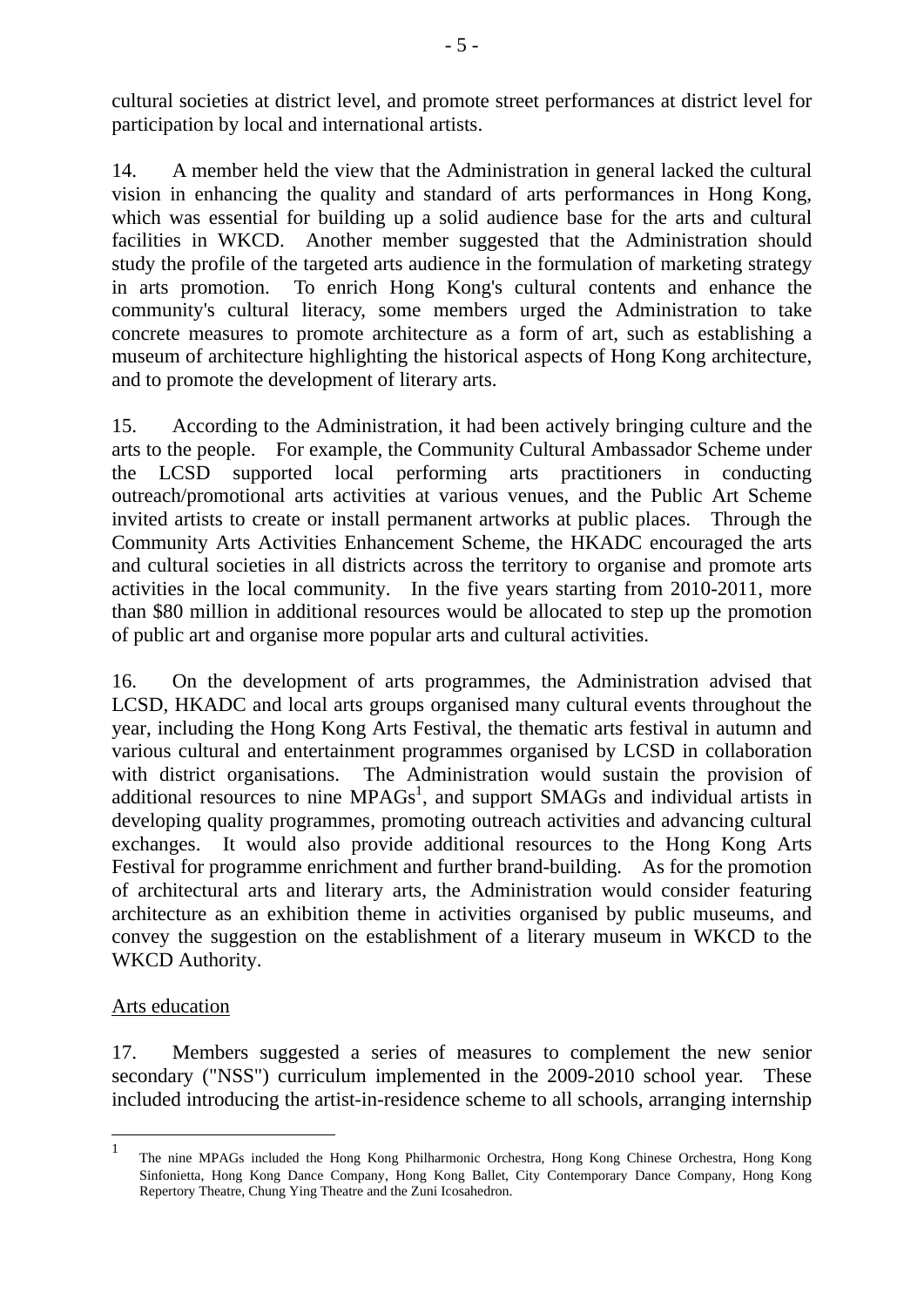cultural societies at district level, and promote street performances at district level for participation by local and international artists.

14. A member held the view that the Administration in general lacked the cultural vision in enhancing the quality and standard of arts performances in Hong Kong, which was essential for building up a solid audience base for the arts and cultural facilities in WKCD. Another member suggested that the Administration should study the profile of the targeted arts audience in the formulation of marketing strategy in arts promotion. To enrich Hong Kong's cultural contents and enhance the community's cultural literacy, some members urged the Administration to take concrete measures to promote architecture as a form of art, such as establishing a museum of architecture highlighting the historical aspects of Hong Kong architecture, and to promote the development of literary arts.

15. According to the Administration, it had been actively bringing culture and the arts to the people. For example, the Community Cultural Ambassador Scheme under the LCSD supported local performing arts practitioners in conducting outreach/promotional arts activities at various venues, and the Public Art Scheme invited artists to create or install permanent artworks at public places. Through the Community Arts Activities Enhancement Scheme, the HKADC encouraged the arts and cultural societies in all districts across the territory to organise and promote arts activities in the local community. In the five years starting from 2010-2011, more than \$80 million in additional resources would be allocated to step up the promotion of public art and organise more popular arts and cultural activities.

16. On the development of arts programmes, the Administration advised that LCSD, HKADC and local arts groups organised many cultural events throughout the year, including the Hong Kong Arts Festival, the thematic arts festival in autumn and various cultural and entertainment programmes organised by LCSD in collaboration with district organisations. The Administration would sustain the provision of additional resources to nine  $MPAGs<sup>1</sup>$ , and support SMAGs and individual artists in developing quality programmes, promoting outreach activities and advancing cultural exchanges. It would also provide additional resources to the Hong Kong Arts Festival for programme enrichment and further brand-building. As for the promotion of architectural arts and literary arts, the Administration would consider featuring architecture as an exhibition theme in activities organised by public museums, and convey the suggestion on the establishment of a literary museum in WKCD to the WKCD Authority.

## Arts education

 $\overline{a}$ 

17. Members suggested a series of measures to complement the new senior secondary ("NSS") curriculum implemented in the 2009-2010 school year. These included introducing the artist-in-residence scheme to all schools, arranging internship

<sup>1</sup> The nine MPAGs included the Hong Kong Philharmonic Orchestra, Hong Kong Chinese Orchestra, Hong Kong Sinfonietta, Hong Kong Dance Company, Hong Kong Ballet, City Contemporary Dance Company, Hong Kong Repertory Theatre, Chung Ying Theatre and the Zuni Icosahedron.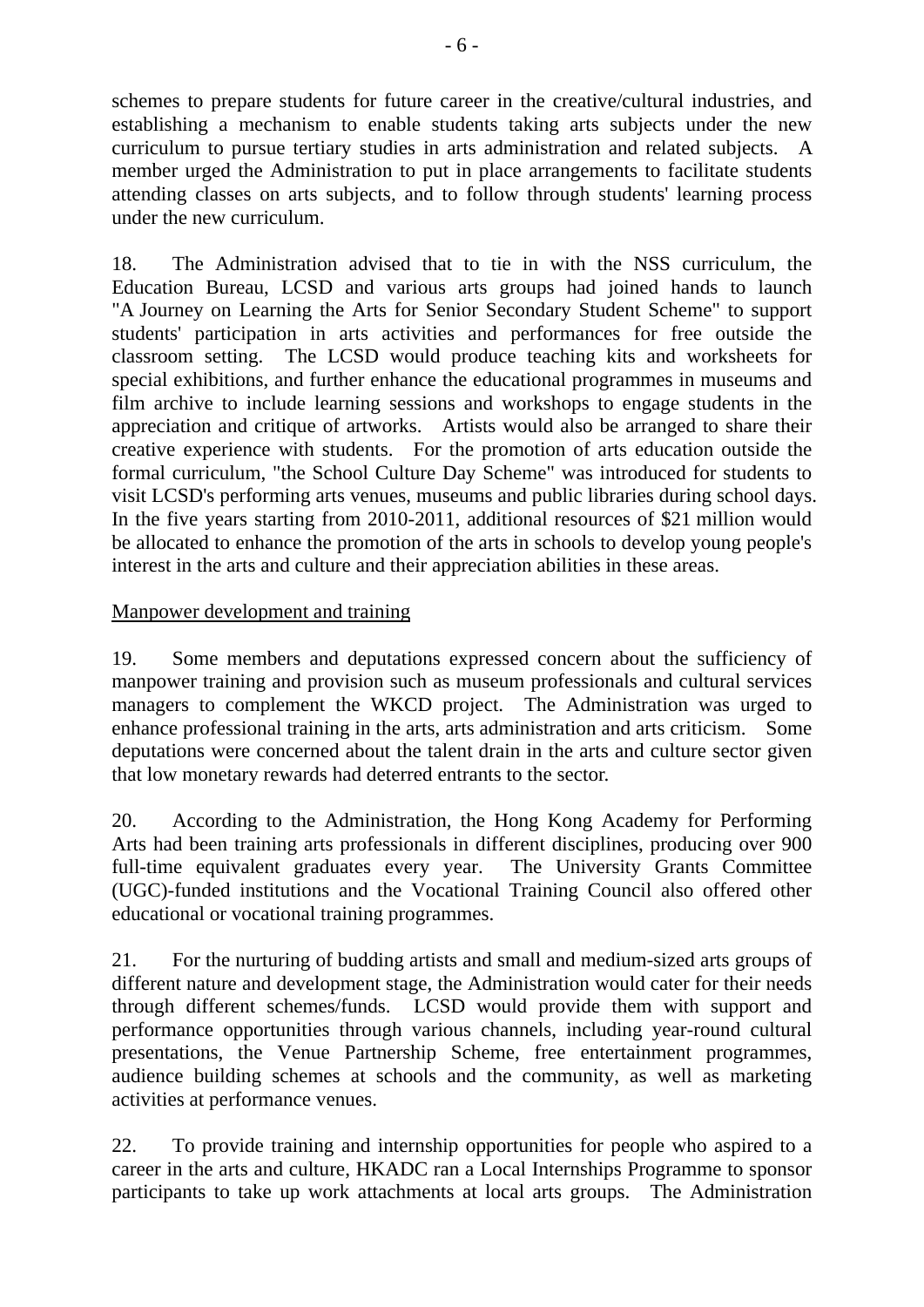schemes to prepare students for future career in the creative/cultural industries, and establishing a mechanism to enable students taking arts subjects under the new curriculum to pursue tertiary studies in arts administration and related subjects. A member urged the Administration to put in place arrangements to facilitate students attending classes on arts subjects, and to follow through students' learning process under the new curriculum.

18. The Administration advised that to tie in with the NSS curriculum, the Education Bureau, LCSD and various arts groups had joined hands to launch "A Journey on Learning the Arts for Senior Secondary Student Scheme" to support students' participation in arts activities and performances for free outside the classroom setting. The LCSD would produce teaching kits and worksheets for special exhibitions, and further enhance the educational programmes in museums and film archive to include learning sessions and workshops to engage students in the appreciation and critique of artworks. Artists would also be arranged to share their creative experience with students.For the promotion of arts education outside the formal curriculum, "the School Culture Day Scheme" was introduced for students to visit LCSD's performing arts venues, museums and public libraries during school days. In the five years starting from 2010-2011, additional resources of \$21 million would be allocated to enhance the promotion of the arts in schools to develop young people's interest in the arts and culture and their appreciation abilities in these areas.

## Manpower development and training

19. Some members and deputations expressed concern about the sufficiency of manpower training and provision such as museum professionals and cultural services managers to complement the WKCD project. The Administration was urged to enhance professional training in the arts, arts administration and arts criticism. Some deputations were concerned about the talent drain in the arts and culture sector given that low monetary rewards had deterred entrants to the sector.

20. According to the Administration, the Hong Kong Academy for Performing Arts had been training arts professionals in different disciplines, producing over 900 full-time equivalent graduates every year. The University Grants Committee (UGC)-funded institutions and the Vocational Training Council also offered other educational or vocational training programmes.

21. For the nurturing of budding artists and small and medium-sized arts groups of different nature and development stage, the Administration would cater for their needs through different schemes/funds. LCSD would provide them with support and performance opportunities through various channels, including year-round cultural presentations, the Venue Partnership Scheme, free entertainment programmes, audience building schemes at schools and the community, as well as marketing activities at performance venues.

22. To provide training and internship opportunities for people who aspired to a career in the arts and culture, HKADC ran a Local Internships Programme to sponsor participants to take up work attachments at local arts groups. The Administration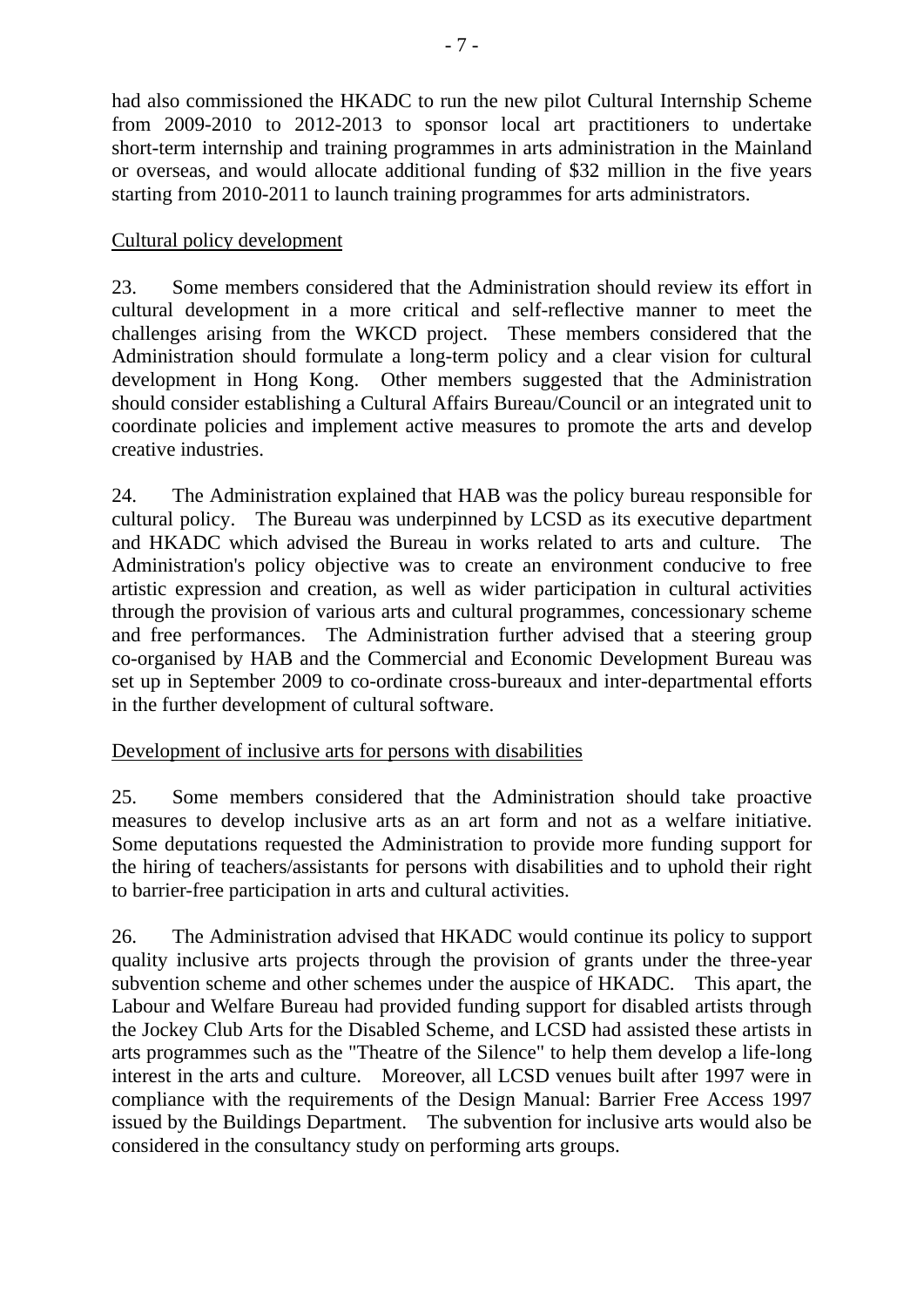had also commissioned the HKADC to run the new pilot Cultural Internship Scheme from 2009-2010 to 2012-2013 to sponsor local art practitioners to undertake short-term internship and training programmes in arts administration in the Mainland or overseas, and would allocate additional funding of \$32 million in the five years starting from 2010-2011 to launch training programmes for arts administrators.

# Cultural policy development

23. Some members considered that the Administration should review its effort in cultural development in a more critical and self-reflective manner to meet the challenges arising from the WKCD project. These members considered that the Administration should formulate a long-term policy and a clear vision for cultural development in Hong Kong. Other members suggested that the Administration should consider establishing a Cultural Affairs Bureau/Council or an integrated unit to coordinate policies and implement active measures to promote the arts and develop creative industries.

24. The Administration explained that HAB was the policy bureau responsible for cultural policy. The Bureau was underpinned by LCSD as its executive department and HKADC which advised the Bureau in works related to arts and culture. The Administration's policy objective was to create an environment conducive to free artistic expression and creation, as well as wider participation in cultural activities through the provision of various arts and cultural programmes, concessionary scheme and free performances. The Administration further advised that a steering group co-organised by HAB and the Commercial and Economic Development Bureau was set up in September 2009 to co-ordinate cross-bureaux and inter-departmental efforts in the further development of cultural software.

## Development of inclusive arts for persons with disabilities

25. Some members considered that the Administration should take proactive measures to develop inclusive arts as an art form and not as a welfare initiative. Some deputations requested the Administration to provide more funding support for the hiring of teachers/assistants for persons with disabilities and to uphold their right to barrier-free participation in arts and cultural activities.

26. The Administration advised that HKADC would continue its policy to support quality inclusive arts projects through the provision of grants under the three-year subvention scheme and other schemes under the auspice of HKADC. This apart, the Labour and Welfare Bureau had provided funding support for disabled artists through the Jockey Club Arts for the Disabled Scheme, and LCSD had assisted these artists in arts programmes such as the "Theatre of the Silence" to help them develop a life-long interest in the arts and culture. Moreover, all LCSD venues built after 1997 were in compliance with the requirements of the Design Manual: Barrier Free Access 1997 issued by the Buildings Department. The subvention for inclusive arts would also be considered in the consultancy study on performing arts groups.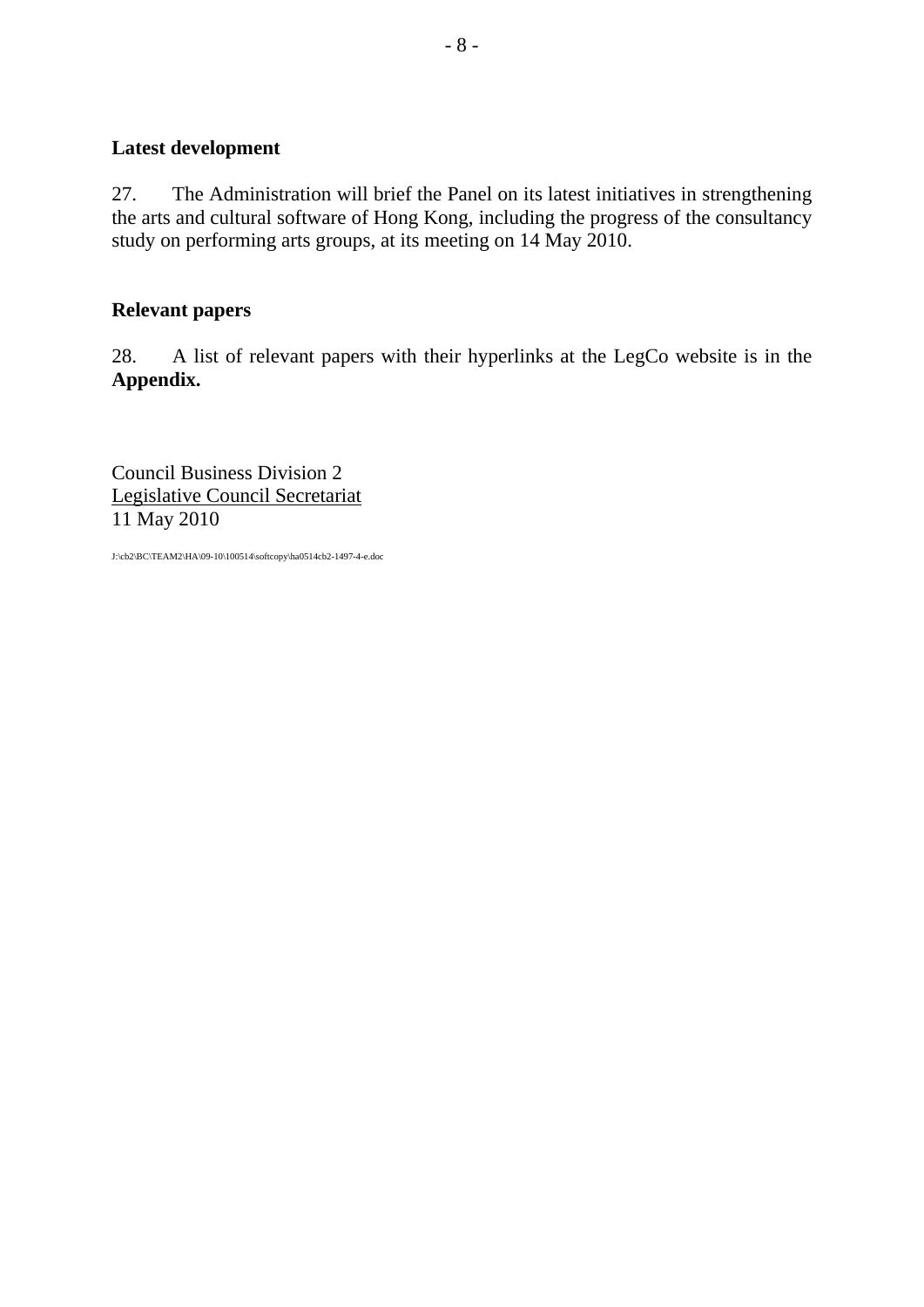# **Latest development**

27. The Administration will brief the Panel on its latest initiatives in strengthening the arts and cultural software of Hong Kong, including the progress of the consultancy study on performing arts groups, at its meeting on 14 May 2010.

#### **Relevant papers**

28. A list of relevant papers with their hyperlinks at the LegCo website is in the **Appendix.**

Council Business Division 2 Legislative Council Secretariat 11 May 2010

J:\cb2\BC\TEAM2\HA\09-10\100514\softcopy\ha0514cb2-1497-4-e.doc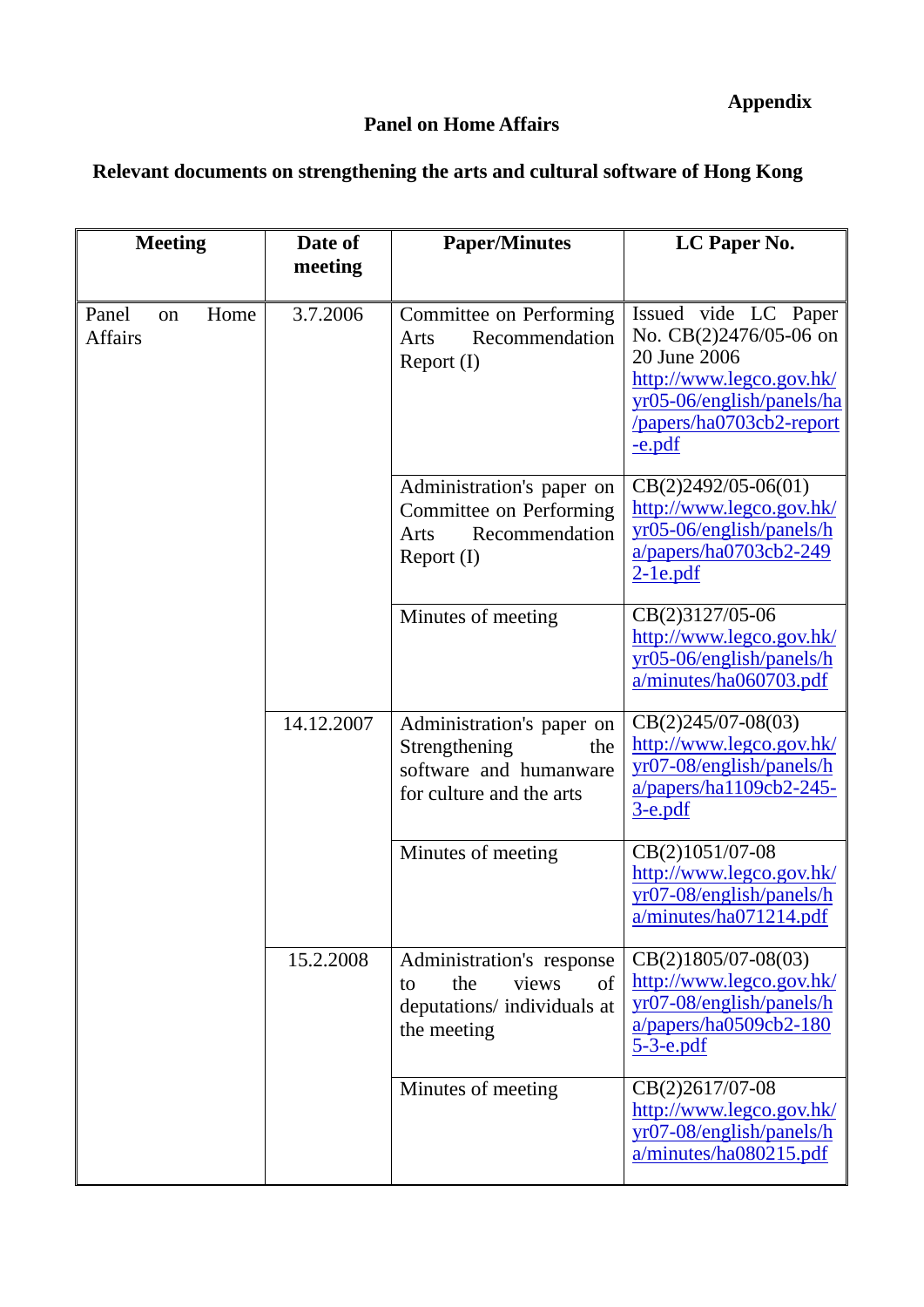## **Panel on Home Affairs**

# **Relevant documents on strengthening the arts and cultural software of Hong Kong**

| <b>Meeting</b>                        | Date of    | <b>Paper/Minutes</b>                                                                                    | LC Paper No.                                                                                                                                                    |
|---------------------------------------|------------|---------------------------------------------------------------------------------------------------------|-----------------------------------------------------------------------------------------------------------------------------------------------------------------|
|                                       | meeting    |                                                                                                         |                                                                                                                                                                 |
| Panel<br>Home<br>on<br><b>Affairs</b> | 3.7.2006   | Committee on Performing<br>Recommendation<br>Arts<br>Report (I)                                         | Issued vide LC Paper<br>No. CB(2)2476/05-06 on<br>20 June 2006<br>http://www.legco.gov.hk/<br>yr05-06/english/panels/ha<br>/papers/ha0703cb2-report<br>$-e.pdf$ |
|                                       |            | Administration's paper on<br>Committee on Performing<br>Recommendation<br>Arts<br>Report (I)            | $CB(2)2492/05-06(01)$<br>http://www.legco.gov.hk/<br>yr05-06/english/panels/h<br>$a/papers/ha0703cb2-249$<br>$2$ -1e.pdf                                        |
|                                       |            | Minutes of meeting                                                                                      | CB(2)3127/05-06<br>http://www.legco.gov.hk/<br>yr05-06/english/panels/h<br>a/minutes/ha060703.pdf                                                               |
|                                       | 14.12.2007 | Administration's paper on<br>Strengthening<br>the<br>software and humanware<br>for culture and the arts | $CB(2)245/07-08(03)$<br>http://www.legco.gov.hk/<br>yr07-08/english/panels/h<br>a/papers/ha1109cb2-245-<br>$3$ -e.pdf                                           |
|                                       |            | Minutes of meeting                                                                                      | CB(2)1051/07-08<br>http://www.legco.gov.hk/<br>yr07-08/english/panels/h<br>a/minutes/ha071214.pdf                                                               |
|                                       | 15.2.2008  | Administration's response<br>the<br>views<br>of<br>to<br>deputations/ individuals at<br>the meeting     | $CB(2)1805/07-08(03)$<br>http://www.legco.gov.hk/<br>yr07-08/english/panels/h<br>$a/papers/ha0509cb2-180$<br><u>5-3-e.pdf</u>                                   |
|                                       |            | Minutes of meeting                                                                                      | CB(2)2617/07-08<br>http://www.legco.gov.hk/<br>yr07-08/english/panels/h<br>a/minutes/ha080215.pdf                                                               |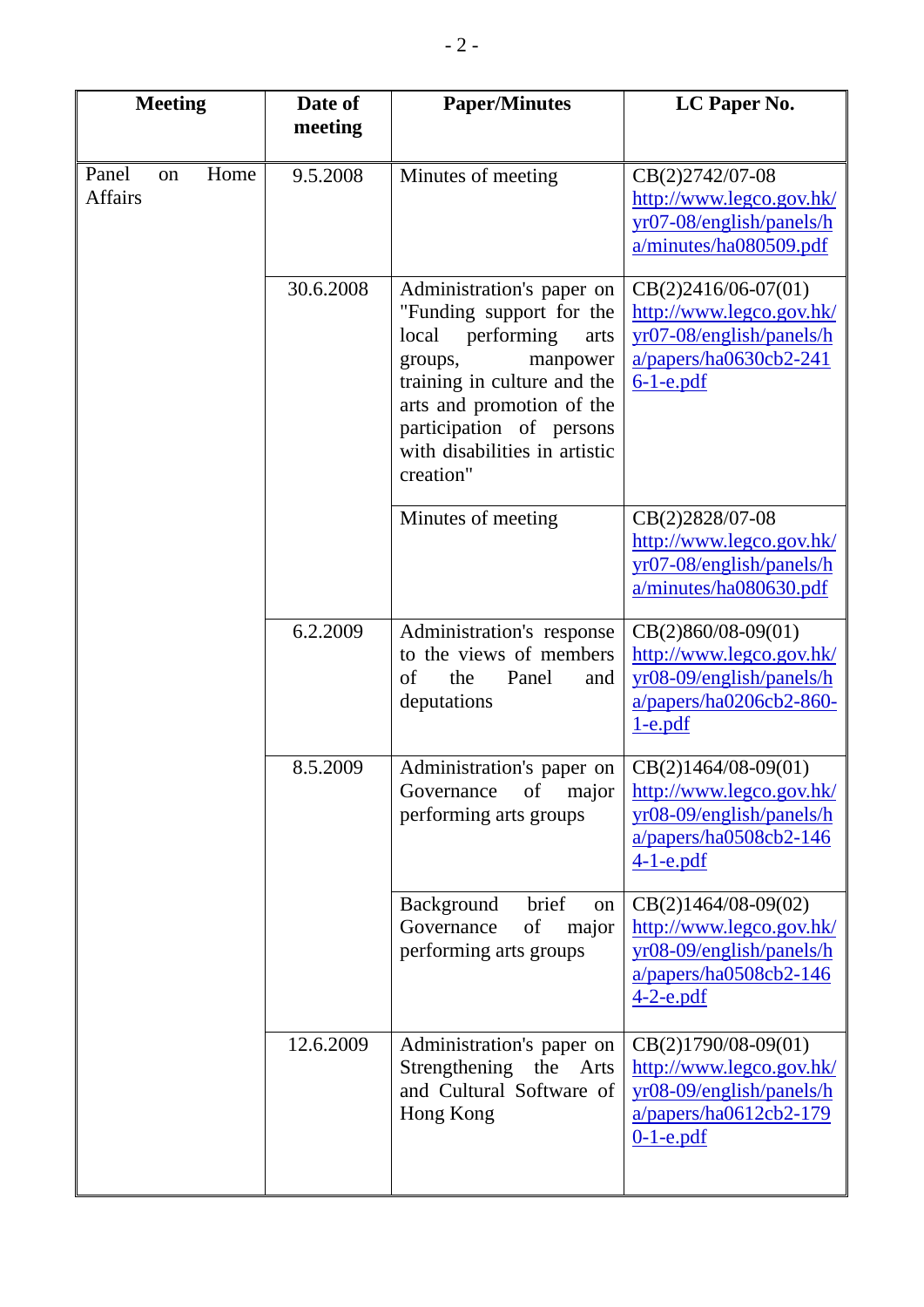| <b>Meeting</b>                        | Date of<br>meeting | <b>Paper/Minutes</b>                                                                                                                                                                                                                              | LC Paper No.                                                                                                              |
|---------------------------------------|--------------------|---------------------------------------------------------------------------------------------------------------------------------------------------------------------------------------------------------------------------------------------------|---------------------------------------------------------------------------------------------------------------------------|
|                                       |                    |                                                                                                                                                                                                                                                   |                                                                                                                           |
| Home<br>Panel<br>on<br><b>Affairs</b> | 9.5.2008           | Minutes of meeting                                                                                                                                                                                                                                | CB(2)2742/07-08<br>http://www.legco.gov.hk/<br>yr07-08/english/panels/h<br>a/minutes/ha080509.pdf                         |
|                                       | 30.6.2008          | Administration's paper on<br>"Funding support for the<br>local<br>performing<br>arts<br>manpower<br>groups,<br>training in culture and the<br>arts and promotion of the<br>participation of persons<br>with disabilities in artistic<br>creation" | $CB(2)2416/06-07(01)$<br>http://www.legco.gov.hk/<br>yr07-08/english/panels/h<br>$a/papers/ha0630cb2-241$<br>$6-1$ -e.pdf |
|                                       |                    | Minutes of meeting                                                                                                                                                                                                                                | CB(2)2828/07-08<br>http://www.legco.gov.hk/<br>yr07-08/english/panels/h<br>a/minutes/ha080630.pdf                         |
|                                       | 6.2.2009           | Administration's response<br>to the views of members<br>of<br>Panel<br>the<br>and<br>deputations                                                                                                                                                  | $CB(2)860/08-09(01)$<br>http://www.legco.gov.hk/<br>yr08-09/english/panels/h<br>a/papers/ha0206cb2-860-<br>$1-e.pdf$      |
|                                       | 8.5.2009           | Administration's paper on<br>Governance<br>of<br>major<br>performing arts groups                                                                                                                                                                  | $CB(2)1464/08-09(01)$<br>http://www.legco.gov.hk/<br>yr08-09/english/panels/h<br>$a/papers/ha0508cb2-146$<br>$4-1$ -e.pdf |
|                                       |                    | brief<br>Background<br>on<br>Governance<br>of<br>major<br>performing arts groups                                                                                                                                                                  | $CB(2)1464/08-09(02)$<br>http://www.legco.gov.hk/<br>yr08-09/english/panels/h<br>$a/papers/ha0508cb2-146$<br>$4-2$ -e.pdf |
|                                       | 12.6.2009          | Administration's paper on<br>Strengthening<br>the<br>Arts<br>and Cultural Software of<br>Hong Kong                                                                                                                                                | $CB(2)1790/08-09(01)$<br>http://www.legco.gov.hk/<br>yr08-09/english/panels/h<br>$a/papers/ha0612cb2-179$<br>$0-1$ -e.pdf |